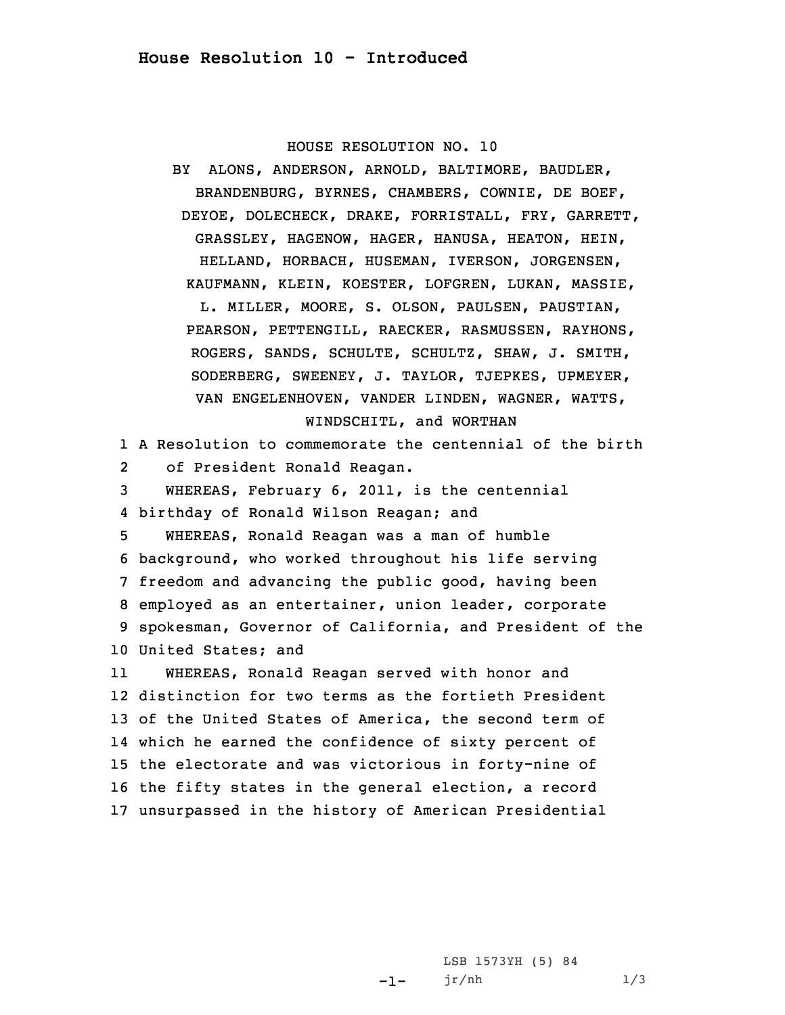## HOUSE RESOLUTION NO. 10

BY ALONS, ANDERSON, ARNOLD, BALTIMORE, BAUDLER, BRANDENBURG, BYRNES, CHAMBERS, COWNIE, DE BOEF, DEYOE, DOLECHECK, DRAKE, FORRISTALL, FRY, GARRETT, GRASSLEY, HAGENOW, HAGER, HANUSA, HEATON, HEIN, HELLAND, HORBACH, HUSEMAN, IVERSON, JORGENSEN, KAUFMANN, KLEIN, KOESTER, LOFGREN, LUKAN, MASSIE, L. MILLER, MOORE, S. OLSON, PAULSEN, PAUSTIAN, PEARSON, PETTENGILL, RAECKER, RASMUSSEN, RAYHONS, ROGERS, SANDS, SCHULTE, SCHULTZ, SHAW, J. SMITH, SODERBERG, SWEENEY, J. TAYLOR, TJEPKES, UPMEYER, VAN ENGELENHOVEN, VANDER LINDEN, WAGNER, WATTS, WINDSCHITL, and WORTHAN

1 A Resolution to commemorate the centennial of the birth 2of President Ronald Reagan.

 WHEREAS, February 6, 2011, is the centennial birthday of Ronald Wilson Reagan; and WHEREAS, Ronald Reagan was <sup>a</sup> man of humble background, who worked throughout his life serving freedom and advancing the public good, having been employed as an entertainer, union leader, corporate spokesman, Governor of California, and President of the United States; and

11 WHEREAS, Ronald Reagan served with honor and distinction for two terms as the fortieth President of the United States of America, the second term of which he earned the confidence of sixty percent of the electorate and was victorious in forty-nine of the fifty states in the general election, <sup>a</sup> record unsurpassed in the history of American Presidential

> -1-LSB 1573YH (5) 84 jr/nh 1/3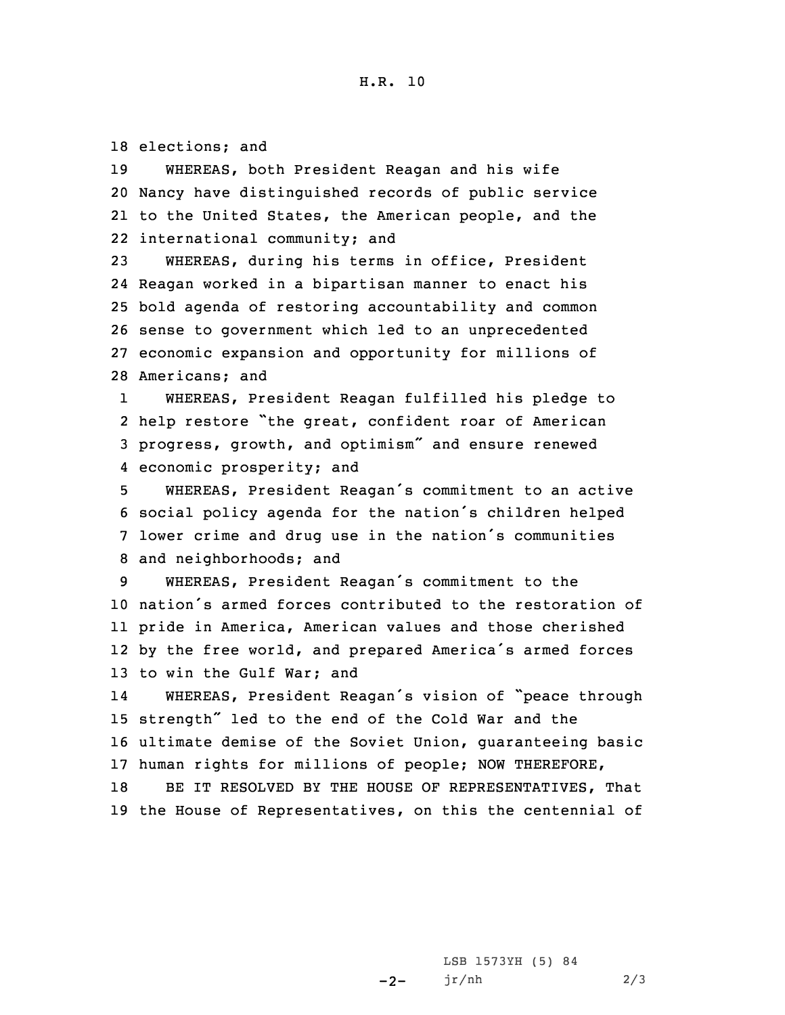18 elections; and

 WHEREAS, both President Reagan and his wife Nancy have distinguished records of public service to the United States, the American people, and the international community; and

 WHEREAS, during his terms in office, President Reagan worked in <sup>a</sup> bipartisan manner to enact his bold agenda of restoring accountability and common sense to government which led to an unprecedented economic expansion and opportunity for millions of Americans; and

1 WHEREAS, President Reagan fulfilled his pledge to 2 help restore "the great, confident roar of American <sup>3</sup> progress, growth, and optimism" and ensure renewed 4 economic prosperity; and

 WHEREAS, President Reagan's commitment to an active social policy agenda for the nation's children helped lower crime and drug use in the nation's communities and neighborhoods; and

 WHEREAS, President Reagan's commitment to the nation's armed forces contributed to the restoration of pride in America, American values and those cherished by the free world, and prepared America's armed forces to win the Gulf War; and

14 WHEREAS, President Reagan's vision of "peace through <sup>15</sup> strength" led to the end of the Cold War and the 16 ultimate demise of the Soviet Union, guaranteeing basic 17 human rights for millions of people; NOW THEREFORE,

18 BE IT RESOLVED BY THE HOUSE OF REPRESENTATIVES, That 19 the House of Representatives, on this the centennial of

> $-2-$ LSB 1573YH (5) 84 jr/nh 2/3